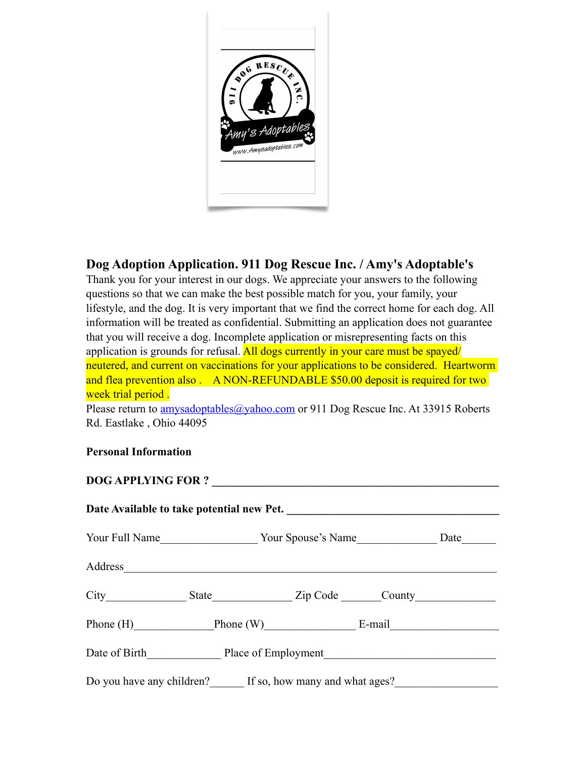

## **Dog Adoption Application. 911 Dog Rescue Inc. / Amy's Adoptable's**

Thank you for your interest in our dogs. We appreciate your answers to the following questions so that we can make the best possible match for you, your family, your lifestyle, and the dog. It is very important that we find the correct home for each dog. All information will be treated as confidential. Submitting an application does not guarantee that you will receive a dog. Incomplete application or misrepresenting facts on this application is grounds for refusal. All dogs currently in your care must be spayed/ neutered, and current on vaccinations for your applications to be considered. Heartworm and flea prevention also . A NON-REFUNDABLE \$50.00 deposit is required for two week trial period.

Please return to **[amysadoptables@yahoo.com](mailto:amysadoptables@yahoo.com)** or 911 Dog Rescue Inc. At 33915 Roberts Rd. Eastlake , Ohio 44095

## **Personal Information**

**DOG APPLYING FOR ? \_\_\_\_\_\_\_\_\_\_\_\_\_\_\_\_\_\_\_\_\_\_\_\_\_\_\_\_\_\_\_\_\_\_\_\_\_\_\_\_\_\_\_\_\_\_\_\_\_\_**

| Date Available to take potential new Pet.                |                            |  |  |      |
|----------------------------------------------------------|----------------------------|--|--|------|
|                                                          |                            |  |  | Date |
| Address                                                  |                            |  |  |      |
|                                                          | State Zip Code County      |  |  |      |
|                                                          | Phone (H) Phone (W) E-mail |  |  |      |
| Date of Birth Place of Employment                        |                            |  |  |      |
| Do you have any children? If so, how many and what ages? |                            |  |  |      |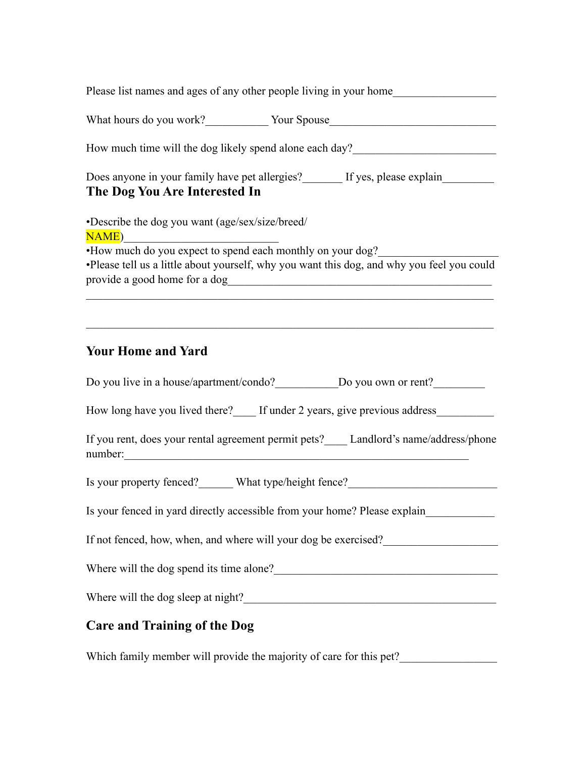| Please list names and ages of any other people living in your home                                                                                                                                                                           |  |  |  |  |
|----------------------------------------------------------------------------------------------------------------------------------------------------------------------------------------------------------------------------------------------|--|--|--|--|
| What hours do you work? Vour Spouse                                                                                                                                                                                                          |  |  |  |  |
| How much time will the dog likely spend alone each day?                                                                                                                                                                                      |  |  |  |  |
| Does anyone in your family have pet allergies?<br>If yes, please explain____________<br>The Dog You Are Interested In                                                                                                                        |  |  |  |  |
| •Describe the dog you want (age/sex/size/breed/<br><b>NAME</b> )                                                                                                                                                                             |  |  |  |  |
| •How much do you expect to spend each monthly on your dog?<br>·Please tell us a little about yourself, why you want this dog, and why you feel you could<br>provide a good home for a dog                                                    |  |  |  |  |
|                                                                                                                                                                                                                                              |  |  |  |  |
| <b>Your Home and Yard</b>                                                                                                                                                                                                                    |  |  |  |  |
|                                                                                                                                                                                                                                              |  |  |  |  |
| How long have you lived there? If under 2 years, give previous address                                                                                                                                                                       |  |  |  |  |
| If you rent, does your rental agreement permit pets?____ Landlord's name/address/phone                                                                                                                                                       |  |  |  |  |
| Is your property fenced?_______ What type/height fence?_________________________                                                                                                                                                             |  |  |  |  |
| Is your fenced in yard directly accessible from your home? Please explain                                                                                                                                                                    |  |  |  |  |
| If not fenced, how, when, and where will your dog be exercised?                                                                                                                                                                              |  |  |  |  |
| Where will the dog spend its time alone?<br><u>Letting</u> the spend its time alone?<br><u>Letting the substitute of the spending</u> spending of the spending of the spending of the spending of the spending of the spending of the spendi |  |  |  |  |
| Where will the dog sleep at night?                                                                                                                                                                                                           |  |  |  |  |
|                                                                                                                                                                                                                                              |  |  |  |  |

## **Care and Training of the Dog**

Which family member will provide the majority of care for this pet?\_\_\_\_\_\_\_\_\_\_\_\_\_\_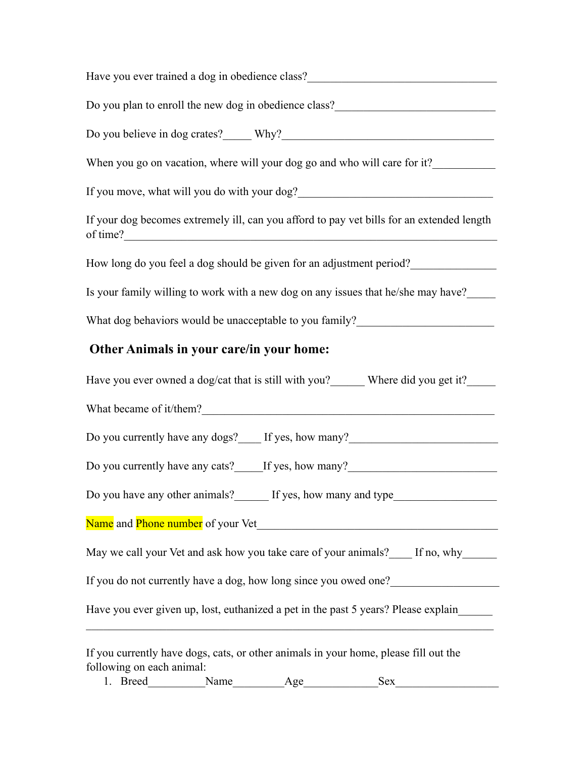| Have you ever trained a dog in obedience class?_________________________________                                  |
|-------------------------------------------------------------------------------------------------------------------|
| Do you plan to enroll the new dog in obedience class?                                                             |
|                                                                                                                   |
| When you go on vacation, where will your dog go and who will care for it?                                         |
| If you move, what will you do with your dog?                                                                      |
| If your dog becomes extremely ill, can you afford to pay vet bills for an extended length<br>of time?             |
| How long do you feel a dog should be given for an adjustment period?                                              |
| Is your family willing to work with a new dog on any issues that he/she may have?                                 |
| What dog behaviors would be unacceptable to you family?_________________________                                  |
| Other Animals in your care/in your home:                                                                          |
| Have you ever owned a dog/cat that is still with you?_______ Where did you get it?_____                           |
|                                                                                                                   |
| Do you currently have any dogs? If yes, how many?                                                                 |
| Do you currently have any cats? If yes, how many?                                                                 |
| Do you have any other animals? If yes, how many and type                                                          |
|                                                                                                                   |
| May we call your Vet and ask how you take care of your animals? If no, why                                        |
| If you do not currently have a dog, how long since you owed one?                                                  |
| Have you ever given up, lost, euthanized a pet in the past 5 years? Please explain                                |
| If you currently have dogs, cats, or other animals in your home, please fill out the<br>following on each animal: |

1. Breed\_\_\_\_\_\_\_\_\_\_Name\_\_\_\_\_\_\_\_\_Age\_\_\_\_\_\_\_\_\_\_\_\_\_Sex\_\_\_\_\_\_\_\_\_\_\_\_\_\_\_\_\_\_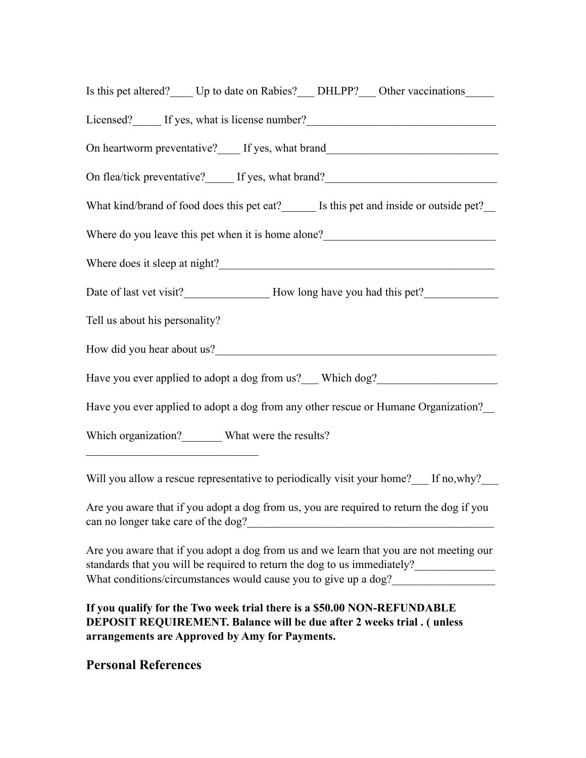| Is this pet altered? Up to date on Rabies? DHLPP? Other vaccinations                                                                                                                                                           |  |  |  |  |
|--------------------------------------------------------------------------------------------------------------------------------------------------------------------------------------------------------------------------------|--|--|--|--|
| Licensed? If yes, what is license number? If yes, what is license number? If yes, what is license number? If yes, what is license number? If yes, what is license number? If yes, what is license number? If yes, what is lice |  |  |  |  |
| On heartworm preventative?____ If yes, what brand_______________________________                                                                                                                                               |  |  |  |  |
| On flea/tick preventative?_____ If yes, what brand?_____________________________                                                                                                                                               |  |  |  |  |
| What kind/brand of food does this pet eat? Is this pet and inside or outside pet?                                                                                                                                              |  |  |  |  |
| Where do you leave this pet when it is home alone?<br><u>Leavenus</u>                                                                                                                                                          |  |  |  |  |
| Where does it sleep at night?                                                                                                                                                                                                  |  |  |  |  |
|                                                                                                                                                                                                                                |  |  |  |  |
| Tell us about his personality?                                                                                                                                                                                                 |  |  |  |  |
|                                                                                                                                                                                                                                |  |  |  |  |
| Have you ever applied to adopt a dog from us?___ Which dog?_____________________                                                                                                                                               |  |  |  |  |
| Have you ever applied to adopt a dog from any other rescue or Humane Organization?                                                                                                                                             |  |  |  |  |
| Which organization? What were the results?                                                                                                                                                                                     |  |  |  |  |
|                                                                                                                                                                                                                                |  |  |  |  |

Will you allow a rescue representative to periodically visit your home? If no, why?

Are you aware that if you adopt a dog from us, you are required to return the dog if you can no longer take care of the dog?\_\_\_\_\_\_\_\_\_\_\_\_\_\_\_\_\_\_\_\_\_\_\_\_\_\_\_\_\_\_\_\_\_\_\_\_\_\_\_\_\_\_\_

Are you aware that if you adopt a dog from us and we learn that you are not meeting our standards that you will be required to return the dog to us immediately? What conditions/circumstances would cause you to give up a dog?\_\_\_\_\_\_\_\_\_\_\_\_\_\_\_\_\_

**If you qualify for the Two week trial there is a \$50.00 NON-REFUNDABLE DEPOSIT REQUIREMENT. Balance will be due after 2 weeks trial . ( unless arrangements are Approved by Amy for Payments.** 

## **Personal References**